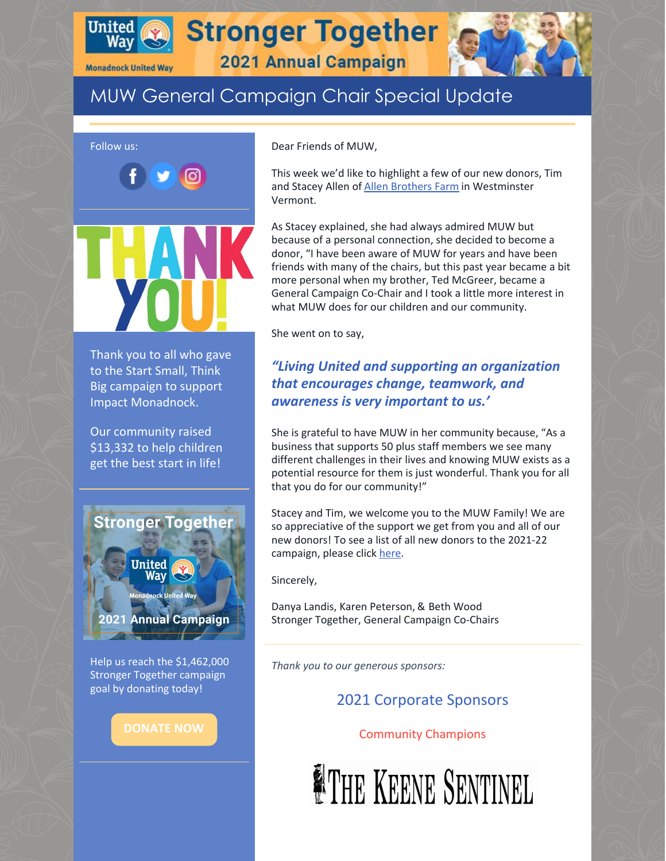

**Monadnock United Way** 

**Stronger Together** 



2021 Annual Campaign

# MUW General Campaign Chair Special Update



Help us reach the \$1,462,000 Stronger Together campaign goal by donating today!

Dear Friends of MUW,

This week we'd like to highlight a few of our new donors, Tim and Stacey Allen of Allen [Brothers](http://allenbrothersfarms.com/) Farm in Westminster Vermont.

As Stacey explained, she had always admired MUW but because of a personal connection, she decided to become a donor, "I have been aware of MUW for years and have been friends with many of the chairs, but this past year became a bit more personal when my brother, Ted McGreer, became a General Campaign Co-Chair and I took a little more interest in what MUW does for our children and our community.

She went on to say,

## *"Living United and supporting an organization that encourages change, teamwork, and awareness is very important to us.'*

She is grateful to have MUW in her community because, "As a business that supports 50 plus staff members we see many different challenges in their lives and knowing MUW exists as a potential resource for them is just wonderful. Thank you for all that you do for our community!"

Stacey and Tim, we welcome you to the MUW Family! We are so appreciative of the support we get from you and all of our new donors! To see a list of all new donors to the 2021-22 campaign, please click [here](https://www.muw.org/new-donors).

Sincerely,

Danya Landis, Karen Peterson, & Beth Wood Stronger Together, General Campaign Co-Chairs

*Thank you to our generous sponsors:*

# 2021 Corporate Sponsors

### Community Champions

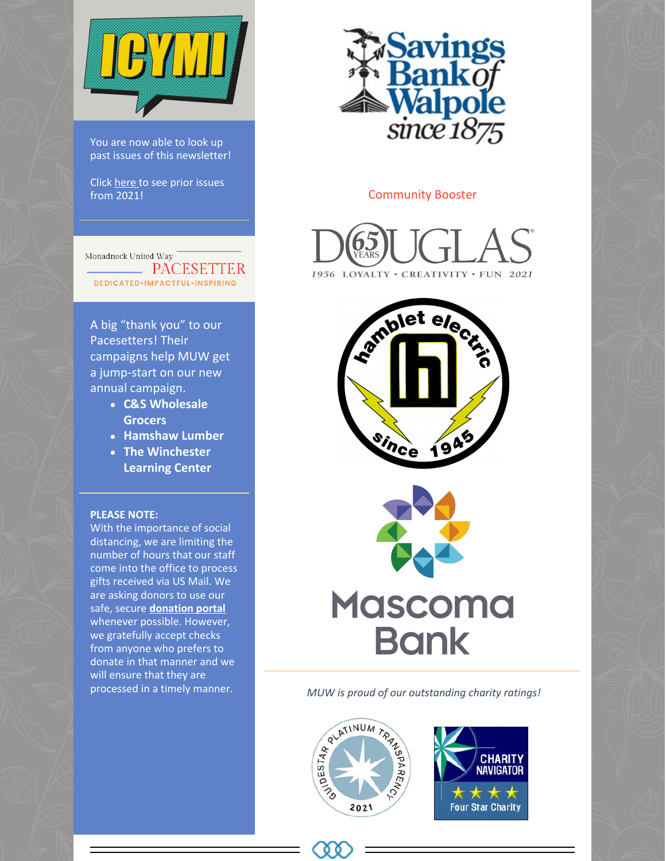

You are now able to look up past issues of this newsletter!

Click [here](https://www.muw.org/2021-newsletters) to see prior issues from 2021!

Monadnock United Way PACESETTER DEDICATED.IMPACTFUL.INSPIRING

A big "thank you" to our Pacesetters! Their campaigns help MUW get a jump-start on our new annual campaign.

- **C&S Wholesale Grocers**
- **Hamshaw Lumber**
- **The Winchester Learning Center**

#### **PLEASE NOTE:**

With the importance of social distancing, we are limiting the number of hours that our staff come into the office to process gifts received via US Mail. We are asking donors to use our safe, secure **[donation](https://app.mobilecause.com/f/1x8m/n?reset=1&%253Bid=1&vid=jw0bb) portal** whenever possible. However, we gratefully accept checks from anyone who prefers to donate in that manner and we will ensure that they are processed in a timely manner.



#### Community Booster